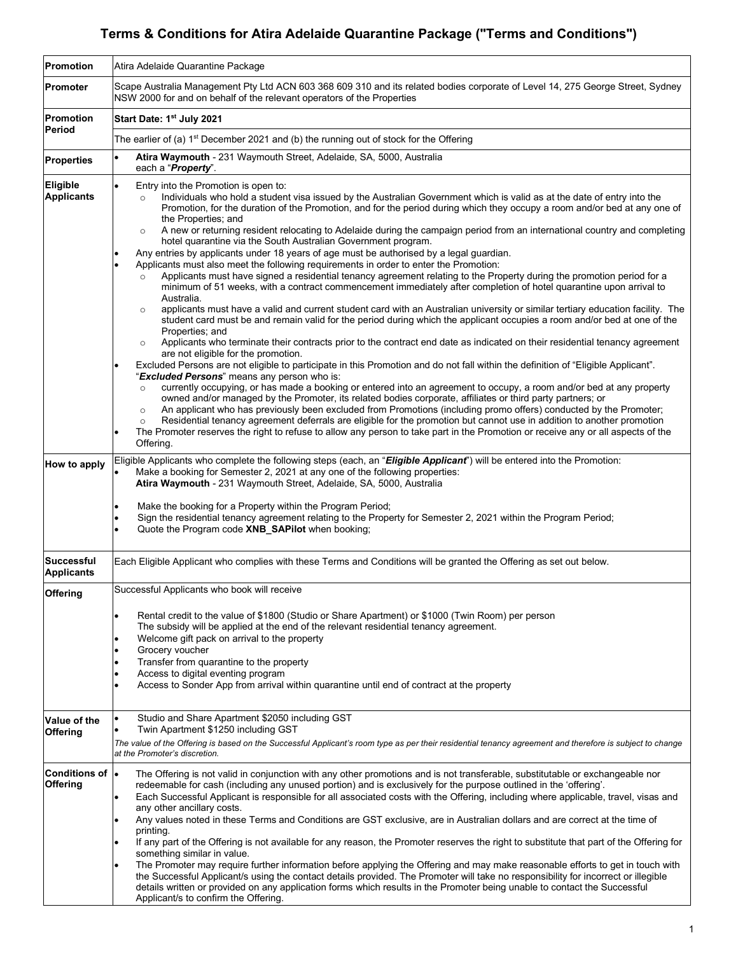# **Terms & Conditions for Atira Adelaide Quarantine Package ("Terms and Conditions")**

| <b>Promotion</b>                       | Atira Adelaide Quarantine Package                                                                                                                                                                                                                                                                                                                                                                                                                                                                                                                                                                                                                                                                                                                                                                                                                                                                                                                                                                                                                                                                                                                                                                                                                                                                                                                                                                                                                                                                                                                                                                                                                                                                                                                                                                                                                                                                                                                                                                                                                                                                                                                                                                                                                                                                                                   |
|----------------------------------------|-------------------------------------------------------------------------------------------------------------------------------------------------------------------------------------------------------------------------------------------------------------------------------------------------------------------------------------------------------------------------------------------------------------------------------------------------------------------------------------------------------------------------------------------------------------------------------------------------------------------------------------------------------------------------------------------------------------------------------------------------------------------------------------------------------------------------------------------------------------------------------------------------------------------------------------------------------------------------------------------------------------------------------------------------------------------------------------------------------------------------------------------------------------------------------------------------------------------------------------------------------------------------------------------------------------------------------------------------------------------------------------------------------------------------------------------------------------------------------------------------------------------------------------------------------------------------------------------------------------------------------------------------------------------------------------------------------------------------------------------------------------------------------------------------------------------------------------------------------------------------------------------------------------------------------------------------------------------------------------------------------------------------------------------------------------------------------------------------------------------------------------------------------------------------------------------------------------------------------------------------------------------------------------------------------------------------------------|
| Promoter                               | Scape Australia Management Pty Ltd ACN 603 368 609 310 and its related bodies corporate of Level 14, 275 George Street, Sydney<br>NSW 2000 for and on behalf of the relevant operators of the Properties                                                                                                                                                                                                                                                                                                                                                                                                                                                                                                                                                                                                                                                                                                                                                                                                                                                                                                                                                                                                                                                                                                                                                                                                                                                                                                                                                                                                                                                                                                                                                                                                                                                                                                                                                                                                                                                                                                                                                                                                                                                                                                                            |
| <b>Promotion</b><br>Period             | Start Date: 1st July 2021                                                                                                                                                                                                                                                                                                                                                                                                                                                                                                                                                                                                                                                                                                                                                                                                                                                                                                                                                                                                                                                                                                                                                                                                                                                                                                                                                                                                                                                                                                                                                                                                                                                                                                                                                                                                                                                                                                                                                                                                                                                                                                                                                                                                                                                                                                           |
|                                        | The earlier of (a) $1st$ December 2021 and (b) the running out of stock for the Offering                                                                                                                                                                                                                                                                                                                                                                                                                                                                                                                                                                                                                                                                                                                                                                                                                                                                                                                                                                                                                                                                                                                                                                                                                                                                                                                                                                                                                                                                                                                                                                                                                                                                                                                                                                                                                                                                                                                                                                                                                                                                                                                                                                                                                                            |
| <b>Properties</b>                      | Atira Waymouth - 231 Waymouth Street, Adelaide, SA, 5000, Australia<br>each a " <b>Property</b> ".                                                                                                                                                                                                                                                                                                                                                                                                                                                                                                                                                                                                                                                                                                                                                                                                                                                                                                                                                                                                                                                                                                                                                                                                                                                                                                                                                                                                                                                                                                                                                                                                                                                                                                                                                                                                                                                                                                                                                                                                                                                                                                                                                                                                                                  |
| Eligible<br><b>Applicants</b>          | Entry into the Promotion is open to:<br>Individuals who hold a student visa issued by the Australian Government which is valid as at the date of entry into the<br>$\circ$<br>Promotion, for the duration of the Promotion, and for the period during which they occupy a room and/or bed at any one of<br>the Properties; and<br>A new or returning resident relocating to Adelaide during the campaign period from an international country and completing<br>$\circ$<br>hotel quarantine via the South Australian Government program.<br>Any entries by applicants under 18 years of age must be authorised by a legal guardian.<br>Applicants must also meet the following requirements in order to enter the Promotion:<br>Applicants must have signed a residential tenancy agreement relating to the Property during the promotion period for a<br>minimum of 51 weeks, with a contract commencement immediately after completion of hotel quarantine upon arrival to<br>Australia.<br>applicants must have a valid and current student card with an Australian university or similar tertiary education facility. The<br>$\circ$<br>student card must be and remain valid for the period during which the applicant occupies a room and/or bed at one of the<br>Properties; and<br>Applicants who terminate their contracts prior to the contract end date as indicated on their residential tenancy agreement<br>$\circ$<br>are not eligible for the promotion.<br>Excluded Persons are not eligible to participate in this Promotion and do not fall within the definition of "Eligible Applicant".<br>"Excluded Persons" means any person who is:<br>currently occupying, or has made a booking or entered into an agreement to occupy, a room and/or bed at any property<br>$\circ$<br>owned and/or managed by the Promoter, its related bodies corporate, affiliates or third party partners; or<br>An applicant who has previously been excluded from Promotions (including promo offers) conducted by the Promoter;<br>$\circ$<br>Residential tenancy agreement deferrals are eligible for the promotion but cannot use in addition to another promotion<br>$\circ$<br>The Promoter reserves the right to refuse to allow any person to take part in the Promotion or receive any or all aspects of the<br>Offering. |
| How to apply                           | Eligible Applicants who complete the following steps (each, an "Eligible Applicant") will be entered into the Promotion:<br>Make a booking for Semester 2, 2021 at any one of the following properties:<br>Atira Waymouth - 231 Waymouth Street, Adelaide, SA, 5000, Australia<br>Make the booking for a Property within the Program Period;<br>٠<br>Sign the residential tenancy agreement relating to the Property for Semester 2, 2021 within the Program Period;<br>Quote the Program code XNB_SAPilot when booking;                                                                                                                                                                                                                                                                                                                                                                                                                                                                                                                                                                                                                                                                                                                                                                                                                                                                                                                                                                                                                                                                                                                                                                                                                                                                                                                                                                                                                                                                                                                                                                                                                                                                                                                                                                                                            |
| <b>Successful</b><br><b>Applicants</b> | Each Eligible Applicant who complies with these Terms and Conditions will be granted the Offering as set out below.                                                                                                                                                                                                                                                                                                                                                                                                                                                                                                                                                                                                                                                                                                                                                                                                                                                                                                                                                                                                                                                                                                                                                                                                                                                                                                                                                                                                                                                                                                                                                                                                                                                                                                                                                                                                                                                                                                                                                                                                                                                                                                                                                                                                                 |
| Offering                               | Successful Applicants who book will receive<br>Rental credit to the value of \$1800 (Studio or Share Apartment) or \$1000 (Twin Room) per person<br>The subsidy will be applied at the end of the relevant residential tenancy agreement.<br>Welcome gift pack on arrival to the property<br>Grocery voucher<br>٠<br>Transfer from quarantine to the property<br>Access to digital eventing program<br>$\bullet$<br>Access to Sonder App from arrival within quarantine until end of contract at the property                                                                                                                                                                                                                                                                                                                                                                                                                                                                                                                                                                                                                                                                                                                                                                                                                                                                                                                                                                                                                                                                                                                                                                                                                                                                                                                                                                                                                                                                                                                                                                                                                                                                                                                                                                                                                       |
| Value of the<br>Offering               | Studio and Share Apartment \$2050 including GST<br>Twin Apartment \$1250 including GST<br>$\bullet$<br>The value of the Offering is based on the Successful Applicant's room type as per their residential tenancy agreement and therefore is subject to change<br>at the Promoter's discretion.                                                                                                                                                                                                                                                                                                                                                                                                                                                                                                                                                                                                                                                                                                                                                                                                                                                                                                                                                                                                                                                                                                                                                                                                                                                                                                                                                                                                                                                                                                                                                                                                                                                                                                                                                                                                                                                                                                                                                                                                                                    |
| Conditions of<br>Offering              | l.<br>The Offering is not valid in conjunction with any other promotions and is not transferable, substitutable or exchangeable nor<br>redeemable for cash (including any unused portion) and is exclusively for the purpose outlined in the 'offering'.<br>Each Successful Applicant is responsible for all associated costs with the Offering, including where applicable, travel, visas and<br>any other ancillary costs.<br>Any values noted in these Terms and Conditions are GST exclusive, are in Australian dollars and are correct at the time of<br>printing.<br>If any part of the Offering is not available for any reason, the Promoter reserves the right to substitute that part of the Offering for<br>something similar in value.<br>The Promoter may require further information before applying the Offering and may make reasonable efforts to get in touch with<br>the Successful Applicant/s using the contact details provided. The Promoter will take no responsibility for incorrect or illegible<br>details written or provided on any application forms which results in the Promoter being unable to contact the Successful<br>Applicant/s to confirm the Offering.                                                                                                                                                                                                                                                                                                                                                                                                                                                                                                                                                                                                                                                                                                                                                                                                                                                                                                                                                                                                                                                                                                                                     |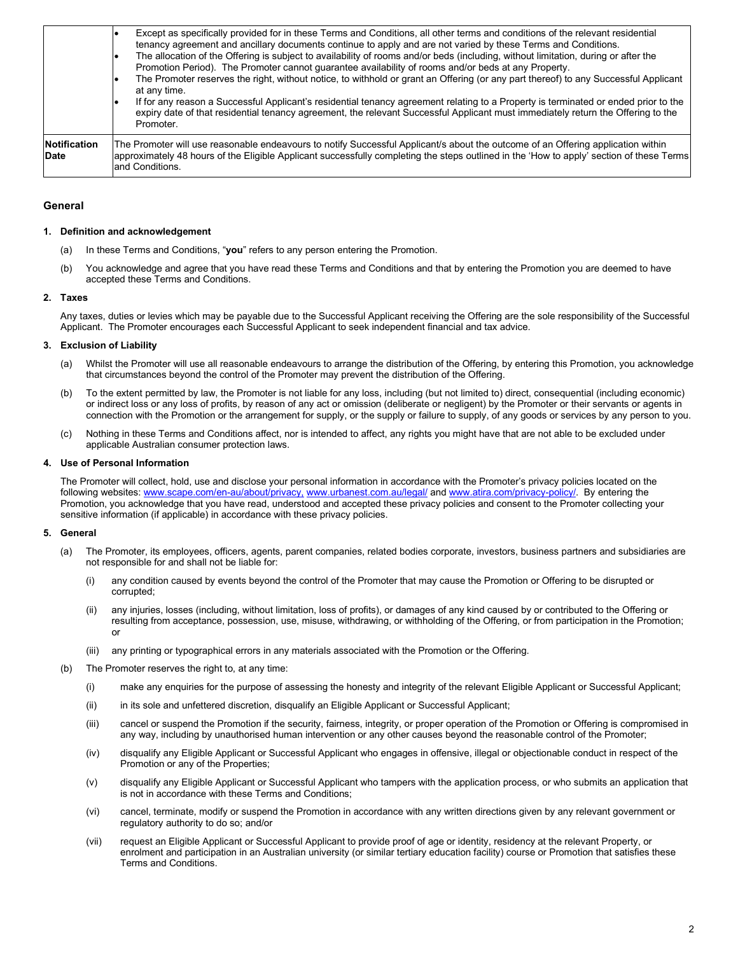|                             | Except as specifically provided for in these Terms and Conditions, all other terms and conditions of the relevant residential<br>tenancy agreement and ancillary documents continue to apply and are not varied by these Terms and Conditions.<br>The allocation of the Offering is subject to availability of rooms and/or beds (including, without limitation, during or after the<br>Promotion Period). The Promoter cannot guarantee availability of rooms and/or beds at any Property.<br>The Promoter reserves the right, without notice, to withhold or grant an Offering (or any part thereof) to any Successful Applicant<br>at any time.<br>If for any reason a Successful Applicant's residential tenancy agreement relating to a Property is terminated or ended prior to the<br>expiry date of that residential tenancy agreement, the relevant Successful Applicant must immediately return the Offering to the<br>Promoter. |
|-----------------------------|--------------------------------------------------------------------------------------------------------------------------------------------------------------------------------------------------------------------------------------------------------------------------------------------------------------------------------------------------------------------------------------------------------------------------------------------------------------------------------------------------------------------------------------------------------------------------------------------------------------------------------------------------------------------------------------------------------------------------------------------------------------------------------------------------------------------------------------------------------------------------------------------------------------------------------------------|
| Notification<br><b>Date</b> | The Promoter will use reasonable endeavours to notify Successful Applicant/s about the outcome of an Offering application within<br>approximately 48 hours of the Eligible Applicant successfully completing the steps outlined in the 'How to apply' section of these Terms<br>and Conditions.                                                                                                                                                                                                                                                                                                                                                                                                                                                                                                                                                                                                                                            |

## **General**

## **1. Definition and acknowledgement**

- (a) In these Terms and Conditions, "**you**" refers to any person entering the Promotion.
- (b) You acknowledge and agree that you have read these Terms and Conditions and that by entering the Promotion you are deemed to have accepted these Terms and Conditions.

## **2. Taxes**

Any taxes, duties or levies which may be payable due to the Successful Applicant receiving the Offering are the sole responsibility of the Successful Applicant. The Promoter encourages each Successful Applicant to seek independent financial and tax advice.

### **3. Exclusion of Liability**

- (a) Whilst the Promoter will use all reasonable endeavours to arrange the distribution of the Offering, by entering this Promotion, you acknowledge that circumstances beyond the control of the Promoter may prevent the distribution of the Offering.
- (b) To the extent permitted by law, the Promoter is not liable for any loss, including (but not limited to) direct, consequential (including economic) or indirect loss or any loss of profits, by reason of any act or omission (deliberate or negligent) by the Promoter or their servants or agents in connection with the Promotion or the arrangement for supply, or the supply or failure to supply, of any goods or services by any person to you.
- (c) Nothing in these Terms and Conditions affect, nor is intended to affect, any rights you might have that are not able to be excluded under applicable Australian consumer protection laws.

### **4. Use of Personal Information**

The Promoter will collect, hold, use and disclose your personal information in accordance with the Promoter's privacy policies located on the following websites: [www.scape.com/en-au/about/privacy,](http://ww.scape.com/en-au/about/privacy,) [www.urbanest.com.au/legal/](http://www.urbanest.com.au/legal/) an[d www.atira.com/privacy-policy/.](http://www.atira.com/privacy-policy/) By entering the Promotion, you acknowledge that you have read, understood and accepted these privacy policies and consent to the Promoter collecting your sensitive information (if applicable) in accordance with these privacy policies.

#### **5. General**

- (a) The Promoter, its employees, officers, agents, parent companies, related bodies corporate, investors, business partners and subsidiaries are not responsible for and shall not be liable for:
	- (i) any condition caused by events beyond the control of the Promoter that may cause the Promotion or Offering to be disrupted or corrupted;
	- (ii) any injuries, losses (including, without limitation, loss of profits), or damages of any kind caused by or contributed to the Offering or resulting from acceptance, possession, use, misuse, withdrawing, or withholding of the Offering, or from participation in the Promotion; or
	- (iii) any printing or typographical errors in any materials associated with the Promotion or the Offering.
- (b) The Promoter reserves the right to, at any time:
	- (i) make any enquiries for the purpose of assessing the honesty and integrity of the relevant Eligible Applicant or Successful Applicant;
	- (ii) in its sole and unfettered discretion, disqualify an Eligible Applicant or Successful Applicant;
	- (iii) cancel or suspend the Promotion if the security, fairness, integrity, or proper operation of the Promotion or Offering is compromised in any way, including by unauthorised human intervention or any other causes beyond the reasonable control of the Promoter;
	- (iv) disqualify any Eligible Applicant or Successful Applicant who engages in offensive, illegal or objectionable conduct in respect of the Promotion or any of the Properties;
	- (v) disqualify any Eligible Applicant or Successful Applicant who tampers with the application process, or who submits an application that is not in accordance with these Terms and Conditions;
	- (vi) cancel, terminate, modify or suspend the Promotion in accordance with any written directions given by any relevant government or regulatory authority to do so; and/or
	- (vii) request an Eligible Applicant or Successful Applicant to provide proof of age or identity, residency at the relevant Property, or enrolment and participation in an Australian university (or similar tertiary education facility) course or Promotion that satisfies these Terms and Conditions.